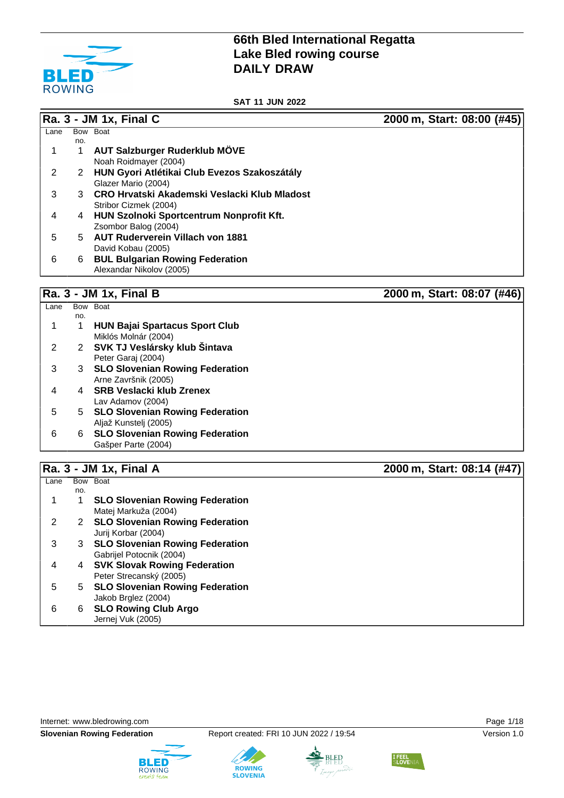

**SAT 11 JUN 2022**

### **Ra. 3 - JM 1x, Final C 2000 m, Start: 08:00 (#45)**  $Lane$ no. Bow Boat 1 1 **AUT Salzburger Ruderklub MÖVE** Noah Roidmayer (2004) 2 2 **HUN Gyori Atlétikai Club Evezos Szakoszátály** Glazer Mario (2004) 3 3 **CRO Hrvatski Akademski Veslacki Klub Mladost** Stribor Cizmek (2004) 4 4 **HUN Szolnoki Sportcentrum Nonprofit Kft.** Zsombor Balog (2004) 5 5 **AUT Ruderverein Villach von 1881** David Kobau (2005) 6 6 **BUL Bulgarian Rowing Federation** Alexandar Nikolov (2005) **Ra. 3 - JM 1x, Final B 2000 m, Start: 08:07 (#46)**

### $Lane$ no. Bow Boat 1 1 **HUN Bajai Spartacus Sport Club** Miklós Molnár (2004) 2 2 **SVK TJ Veslársky klub Šintava** Peter Garaj (2004) 3 3 **SLO Slovenian Rowing Federation** Arne Završnik (2005) 4 4 **SRB Veslacki klub Zrenex** Lav Adamov (2004) 5 5 **SLO Slovenian Rowing Federation** Aljaž Kunstelj (2005) 6 6 **SLO Slovenian Rowing Federation** Gašper Parte (2004)

### **Ra. 3 - JM 1x, Final A 2000 m, Start: 08:14 (#47)**

| Lane |     | Bow Boat                               |
|------|-----|----------------------------------------|
|      | no. |                                        |
|      |     | <b>SLO Slovenian Rowing Federation</b> |
|      |     | Matej Markuža (2004)                   |
|      |     | 2 SLO Slovenian Rowing Federation      |
|      |     | Jurij Korbar (2004)                    |
| 3    | 3   | <b>SLO Slovenian Rowing Federation</b> |
|      |     | Gabrijel Potocnik (2004)               |
| 4    | 4   | <b>SVK Slovak Rowing Federation</b>    |
|      |     | Peter Strecanský (2005)                |
| 5    | 5   | <b>SLO Slovenian Rowing Federation</b> |
|      |     | Jakob Brglez (2004)                    |
| 6    | 6   | <b>SLO Rowing Club Argo</b>            |
|      |     | Jernej Vuk (2005)                      |

Internet: [www.bledrowing.com](http://www.bledrowing.com) Page 1/18







**ROWING** 

**SLOVENIA** 

**BLED** 

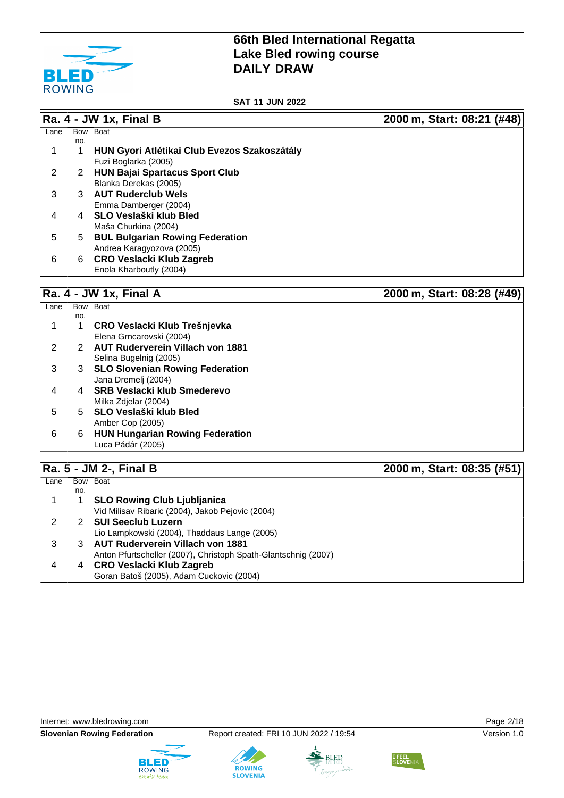

### **SAT 11 JUN 2022**

**Ra. 4 - JW 1x, Final B 2000 m, Start: 08:21 (#48)**

| Lane |     | Bow Boat                                     |
|------|-----|----------------------------------------------|
|      | no. |                                              |
|      |     | HUN Gyori Atlétikai Club Evezos Szakoszátály |
|      |     | Fuzi Boglarka (2005)                         |
| 2    | 2   | <b>HUN Bajai Spartacus Sport Club</b>        |
|      |     | Blanka Derekas (2005)                        |
| 3    | 3.  | <b>AUT Ruderclub Wels</b>                    |
|      |     | Emma Damberger (2004)                        |
| 4    |     | SLO Veslaški klub Bled                       |
|      |     | Maša Churkina (2004)                         |
| 5    | 5.  | <b>BUL Bulgarian Rowing Federation</b>       |
|      |     | Andrea Karagyozova (2005)                    |
| 6    | 6   | <b>CRO Veslacki Klub Zagreb</b>              |
|      |     | Enola Kharboutly (2004)                      |
|      |     |                                              |

### **Ra. 4 - JW 1x, Final A 2000 m, Start: 08:28 (#49)**

Lane Bow Boat no. 1 1 **CRO Veslacki Klub Trešnjevka** Elena Grncarovski (2004) 2 2 **AUT Ruderverein Villach von 1881** Selina Bugelnig (2005) 3 3 **SLO Slovenian Rowing Federation** Jana Dremelj (2004) 4 4 **SRB Veslacki klub Smederevo** Milka Zdjelar (2004) 5 5 **SLO Veslaški klub Bled** Amber Cop (2005) 6 6 **HUN Hungarian Rowing Federation** Luca Pádár (2005)

### **Ra. 5 - JM 2-, Final B 2000 m, Start: 08:35 (#51)**

| Lane |     | Bow Boat                                                       |
|------|-----|----------------------------------------------------------------|
|      | no. |                                                                |
|      |     | <b>SLO Rowing Club Ljubljanica</b>                             |
|      |     | Vid Milisav Ribaric (2004), Jakob Pejovic (2004)               |
|      |     | 2 SUI Seeclub Luzern                                           |
|      |     | Lio Lampkowski (2004), Thaddaus Lange (2005)                   |
| З    |     | 3 AUT Ruderverein Villach von 1881                             |
|      |     | Anton Pfurtscheller (2007), Christoph Spath-Glantschnig (2007) |
| 4    |     | 4 CRO Veslacki Klub Zagreb                                     |
|      |     | Goran Batoš (2005), Adam Cuckovic (2004)                       |

Internet: [www.bledrowing.com](http://www.bledrowing.com) Page 2/18







**ROWING** 



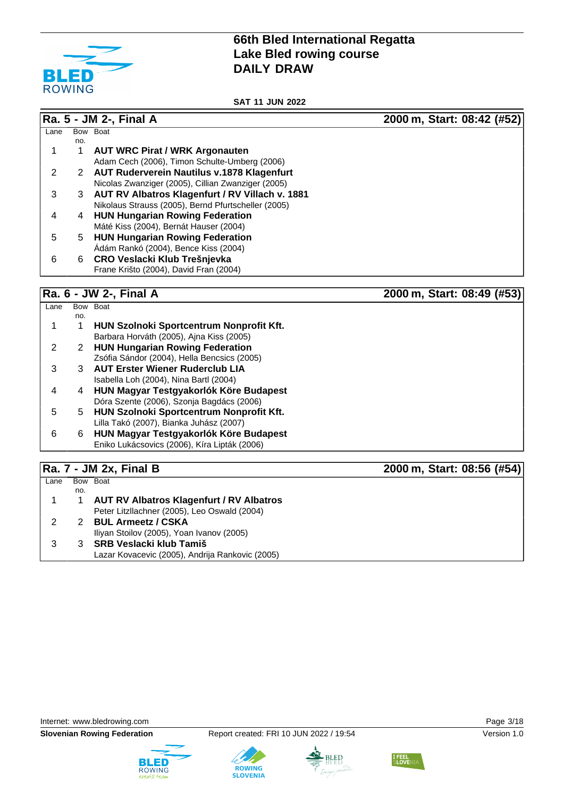

**SAT 11 JUN 2022**

|      |     | <b>Ra. 5 - JM 2-, Final A</b>                       | 2000 m, Start: 08:42 (#52) |
|------|-----|-----------------------------------------------------|----------------------------|
| Lane |     | Bow Boat                                            |                            |
|      | no. |                                                     |                            |
|      |     | <b>AUT WRC Pirat / WRK Argonauten</b>               |                            |
|      |     | Adam Cech (2006), Timon Schulte-Umberg (2006)       |                            |
| 2    |     | 2 AUT Ruderverein Nautilus v.1878 Klagenfurt        |                            |
|      |     | Nicolas Zwanziger (2005), Cillian Zwanziger (2005)  |                            |
| 3    | 3   | AUT RV Albatros Klagenfurt / RV Villach v. 1881     |                            |
|      |     | Nikolaus Strauss (2005), Bernd Pfurtscheller (2005) |                            |
| 4    | 4   | <b>HUN Hungarian Rowing Federation</b>              |                            |
|      |     | Máté Kiss (2004), Bernát Hauser (2004)              |                            |
| 5    | 5   | <b>HUN Hungarian Rowing Federation</b>              |                            |
|      |     | Ádám Rankó (2004), Bence Kiss (2004)                |                            |
| 6    | 6   | CRO Veslacki Klub Trešnjevka                        |                            |
|      |     | Frane Krišto (2004), David Fran (2004)              |                            |
|      |     |                                                     |                            |

**Ra. 6 - JW 2-, Final A 2000 m, Start: 08:49 (#53)**

|      |     | Ra. 7 - JM 2x, Final B                                                            | 2000 m, Start: 08:56 (#54) |
|------|-----|-----------------------------------------------------------------------------------|----------------------------|
|      |     |                                                                                   |                            |
|      |     | Eniko Lukácsovics (2006), Kíra Lipták (2006)                                      |                            |
| 6    | 6   | Lilla Takó (2007), Bianka Juhász (2007)<br>HUN Magyar Testgyakorlók Köre Budapest |                            |
| 5    | 5   | <b>HUN Szolnoki Sportcentrum Nonprofit Kft.</b>                                   |                            |
|      |     | Dóra Szente (2006), Szonja Bagdács (2006)                                         |                            |
| 4    | 4   | HUN Magyar Testgyakorlók Köre Budapest                                            |                            |
|      |     | Isabella Loh (2004), Nina Bartl (2004)                                            |                            |
| 3    | 3   | <b>AUT Erster Wiener Ruderclub LIA</b>                                            |                            |
|      |     | Zsófia Sándor (2004), Hella Bencsics (2005)                                       |                            |
| 2    | 2   | <b>HUN Hungarian Rowing Federation</b>                                            |                            |
|      |     | Barbara Horváth (2005), Ajna Kiss (2005)                                          |                            |
|      |     | HUN Szolnoki Sportcentrum Nonprofit Kft.                                          |                            |
|      | no. |                                                                                   |                            |
| Lane |     | Bow Boat                                                                          |                            |

| Lane |     | Bow Boat                                        |  |
|------|-----|-------------------------------------------------|--|
|      | no. |                                                 |  |
|      |     | <b>AUT RV Albatros Klagenfurt / RV Albatros</b> |  |
|      |     | Peter Litzllachner (2005), Leo Oswald (2004)    |  |
|      |     | <b>BUL Armeetz / CSKA</b>                       |  |
|      |     | Iliyan Stoilov (2005), Yoan Ivanov (2005)       |  |
|      |     | <b>SRB Veslacki klub Tamiš</b>                  |  |
|      |     | Lazar Kovacevic (2005), Andrija Rankovic (2005) |  |

Internet: [www.bledrowing.com](http://www.bledrowing.com) **Page 3/18** 





**Slovenian Rowing Federation** Report created: FRI 10 JUN 2022 / 19:54 Version 1.0



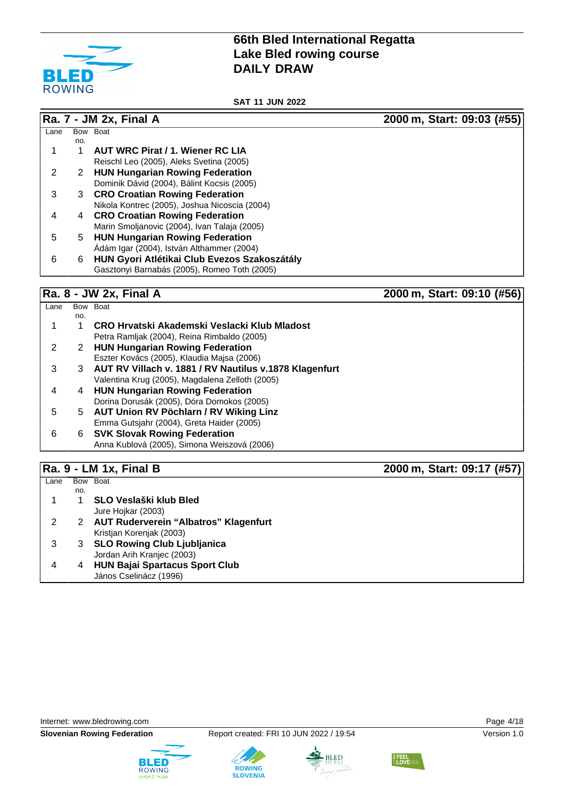

**SAT 11 JUN 2022**

|      |     | Ra. 7 - JM 2x, Final A                        | 2000 m, Start: 09:03 (#55) |
|------|-----|-----------------------------------------------|----------------------------|
| Lane |     | Bow Boat                                      |                            |
|      | no. |                                               |                            |
|      |     | AUT WRC Pirat / 1. Wiener RC LIA              |                            |
|      |     | Reischl Leo (2005), Aleks Svetina (2005)      |                            |
| 2    | 2   | <b>HUN Hungarian Rowing Federation</b>        |                            |
|      |     | Dominik Dávid (2004), Bálint Kocsis (2005)    |                            |
| 3    | 3   | <b>CRO Croatian Rowing Federation</b>         |                            |
|      |     | Nikola Kontrec (2005), Joshua Nicoscia (2004) |                            |
| 4    | 4   | <b>CRO Croatian Rowing Federation</b>         |                            |
|      |     | Marin Smoljanovic (2004), Ivan Talaja (2005)  |                            |
| 5    | 5.  | <b>HUN Hungarian Rowing Federation</b>        |                            |
|      |     | Ádám Igar (2004), István Althammer (2004)     |                            |
| 6    | 6   | HUN Gyori Atlétikai Club Evezos Szakoszátály  |                            |
|      |     | Gasztonyi Barnabás (2005), Romeo Toth (2005)  |                            |

**Ra. 8 - JW 2x, Final A 2000 m, Start: 09:10 (#56)**

| Lane |     | Bow Boat                                               |
|------|-----|--------------------------------------------------------|
|      | no. |                                                        |
|      |     | CRO Hrvatski Akademski Veslacki Klub Mladost           |
|      |     | Petra Ramljak (2004), Reina Rimbaldo (2005)            |
|      |     | <b>HUN Hungarian Rowing Federation</b>                 |
|      |     | Eszter Kovács (2005), Klaudia Majsa (2006)             |
| 3    | 3   | AUT RV Villach v. 1881 / RV Nautilus v.1878 Klagenfurt |
|      |     | Valentina Krug (2005), Magdalena Zelloth (2005)        |
| 4    | 4   | <b>HUN Hungarian Rowing Federation</b>                 |
|      |     | Dorina Dorusák (2005), Dóra Domokos (2005)             |
| 5    |     | 5 AUT Union RV Pöchlarn / RV Wiking Linz               |
|      |     | Emma Gutsjahr (2004), Greta Haider (2005)              |
| 6    | 6.  | <b>SVK Slovak Rowing Federation</b>                    |
|      |     | Anna Kublová (2005), Simona Weiszová (2006)            |
|      |     |                                                        |

## **Ra. 9 - LM 1x, Final B 2000 m, Start: 09:17 (#57)**

| Lane |     | Bow Boat                                                    |
|------|-----|-------------------------------------------------------------|
|      | no. |                                                             |
|      |     | SLO Veslaški klub Bled<br>Jure Hojkar (2003)                |
|      |     | 2 AUT Ruderverein "Albatros" Klagenfurt                     |
|      |     | Kristian Korenjak (2003)                                    |
|      |     | 3 SLO Rowing Club Ljubljanica<br>Jordan Arih Kranjec (2003) |
|      |     | 4 HUN Bajai Spartacus Sport Club                            |
|      |     | János Cselinácz (1996)                                      |









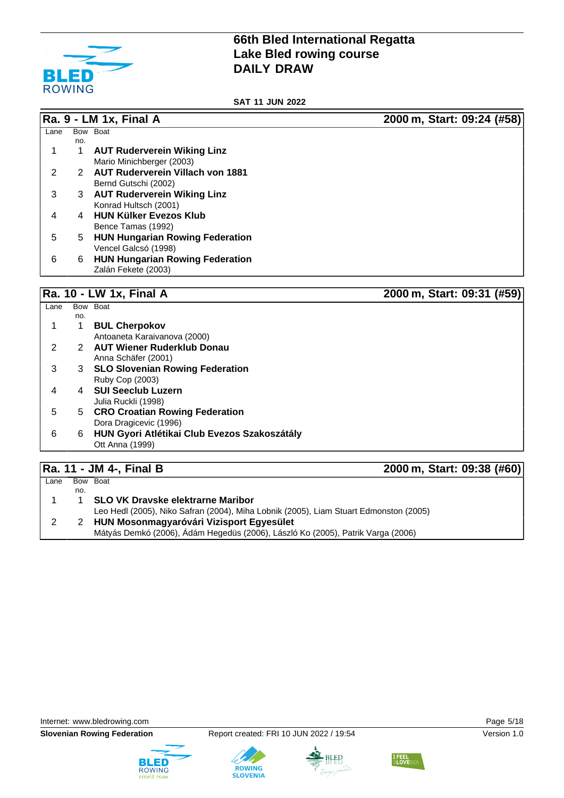

**SAT 11 JUN 2022**

| Ra. 9 - LM 1x, Final A |                          |                                         | 2000 m, Start: 09:24 (#58) |
|------------------------|--------------------------|-----------------------------------------|----------------------------|
| Lane                   |                          | Bow Boat                                |                            |
|                        | no.                      |                                         |                            |
|                        |                          | <b>AUT Ruderverein Wiking Linz</b>      |                            |
|                        |                          | Mario Minichberger (2003)               |                            |
| 2                      | 2                        | <b>AUT Ruderverein Villach von 1881</b> |                            |
|                        |                          | Bernd Gutschi (2002)                    |                            |
| 3                      | 3                        | <b>AUT Ruderverein Wiking Linz</b>      |                            |
|                        |                          | Konrad Hultsch (2001)                   |                            |
| 4                      | 4                        | <b>HUN Külker Evezos Klub</b>           |                            |
|                        |                          | Bence Tamas (1992)                      |                            |
| 5                      | 5.                       | <b>HUN Hungarian Rowing Federation</b>  |                            |
|                        |                          | Vencel Galcsó (1998)                    |                            |
| 6                      | 6                        | <b>HUN Hungarian Rowing Federation</b>  |                            |
|                        |                          | Zalán Fekete (2003)                     |                            |
|                        |                          |                                         |                            |
|                        | $\overline{\phantom{a}}$ | .<br>--<br>. .                          | ----<br>___                |

## **Ra. 10 - LW 1x, Final A 2000 m, Start: 09:31 (#59)**

Lane Bow Boat no. 1 1 **BUL Cherpokov** Antoaneta Karaivanova (2000) 2 2 **AUT Wiener Ruderklub Donau** Anna Schäfer (2001) 3 3 **SLO Slovenian Rowing Federation** Ruby Cop (2003) 4 4 **SUI Seeclub Luzern** Julia Ruckli (1998) 5 5 **CRO Croatian Rowing Federation** Dora Dragicevic (1996) 6 6 **HUN Gyori Atlétikai Club Evezos Szakoszátály** Ott Anna (1999) **Ra. 11 - JM 4-, Final B 2000 m, Start: 09:38 (#60)**

| Lane |     | Bow Boat                                                                              |
|------|-----|---------------------------------------------------------------------------------------|
|      |     |                                                                                       |
|      | no. |                                                                                       |
|      |     | <b>SLO VK Dravske elektrarne Maribor</b>                                              |
|      |     |                                                                                       |
|      |     | Leo Hedl (2005), Niko Safran (2004), Miha Lobnik (2005), Liam Stuart Edmonston (2005) |
|      |     |                                                                                       |
|      |     | 2 HUN Mosonmagyaróvári Vizisport Egyesület                                            |
|      |     |                                                                                       |
|      |     | Mátyás Demkó (2006), Ádám Hegedüs (2006), László Ko (2005), Patrik Varga (2006)       |
|      |     |                                                                                       |







**ROWING** 



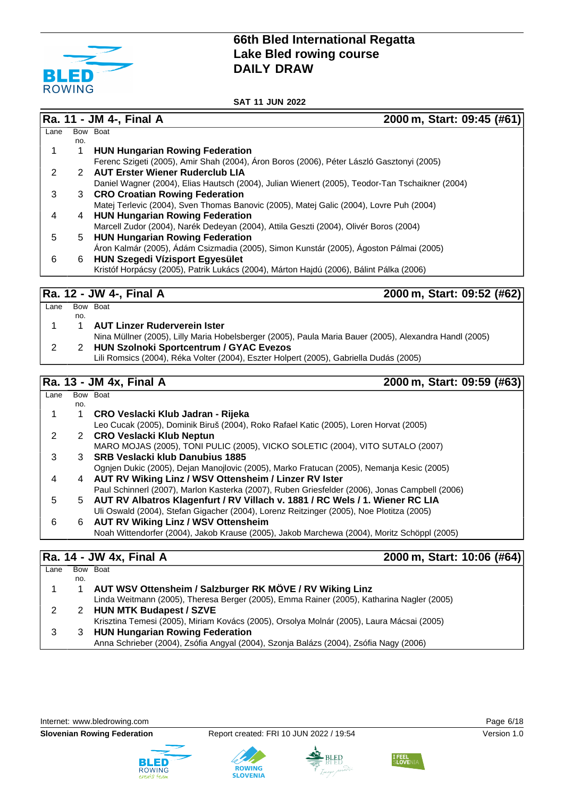

**SAT 11 JUN 2022**

## **Ra. 11 - JM 4-, Final A 2000 m, Start: 09:45 (#61)**

| Lane |     | Bow Boat                                                                                        |
|------|-----|-------------------------------------------------------------------------------------------------|
|      | no. |                                                                                                 |
|      |     | <b>HUN Hungarian Rowing Federation</b>                                                          |
|      |     | Ferenc Szigeti (2005), Amir Shah (2004), Áron Boros (2006), Péter László Gasztonyi (2005)       |
| 2    |     | 2 AUT Erster Wiener Ruderclub LIA                                                               |
|      |     | Daniel Wagner (2004), Elias Hautsch (2004), Julian Wienert (2005), Teodor-Tan Tschaikner (2004) |
| 3    | 3   | <b>CRO Croatian Rowing Federation</b>                                                           |
|      |     | Matej Terlevic (2004), Sven Thomas Banovic (2005), Matej Galic (2004), Lovre Puh (2004)         |
| 4    |     | 4 HUN Hungarian Rowing Federation                                                               |
|      |     | Marcell Zudor (2004), Narék Dedeyan (2004), Attila Geszti (2004), Olivér Boros (2004)           |
| 5    |     | 5 HUN Hungarian Rowing Federation                                                               |
|      |     | Áron Kalmár (2005), Ádám Csizmadia (2005), Simon Kunstár (2005), Ágoston Pálmai (2005)          |
| 6    | 6   | <b>HUN Szegedi Vízisport Egyesület</b>                                                          |
|      |     | Kristóf Horpácsy (2005), Patrik Lukács (2004), Márton Hajdú (2006), Bálint Pálka (2006)         |

**Ra. 12 - JW 4-, Final A 2000 m, Start: 09:52 (#62)**

| Lane |     | Bow Boat                                                                                               |
|------|-----|--------------------------------------------------------------------------------------------------------|
|      | no. |                                                                                                        |
|      |     | <b>AUT Linzer Ruderverein Ister</b>                                                                    |
|      |     | Nina Müllner (2005), Lilly Maria Hobelsberger (2005), Paula Maria Bauer (2005), Alexandra Handl (2005) |
|      |     | <b>HUN Szolnoki Sportcentrum / GYAC Evezos</b>                                                         |
|      |     | Lili Romsics (2004), Réka Volter (2004), Eszter Holpert (2005), Gabriella Dudás (2005)                 |

## **Ra. 13 - JM 4x, Final A 2000 m, Start: 09:59 (#63)**

| Lane |     | Bow Boat                                                                                       |
|------|-----|------------------------------------------------------------------------------------------------|
|      | no. |                                                                                                |
|      |     | CRO Veslacki Klub Jadran - Rijeka                                                              |
|      |     | Leo Cucak (2005), Dominik Biruš (2004), Roko Rafael Katic (2005), Loren Horvat (2005)          |
| 2    |     | 2 CRO Veslacki Klub Neptun                                                                     |
|      |     | MARO MOJAS (2005), TONI PULIC (2005), VICKO SOLETIC (2004), VITO SUTALO (2007)                 |
| 3    |     | 3 SRB Veslacki klub Danubius 1885                                                              |
|      |     | Ognjen Dukic (2005), Dejan Manojlovic (2005), Marko Fratucan (2005), Nemanja Kesic (2005)      |
| 4    | 4   | AUT RV Wiking Linz / WSV Ottensheim / Linzer RV Ister                                          |
|      |     | Paul Schinnerl (2007), Marlon Kasterka (2007), Ruben Griesfelder (2006), Jonas Campbell (2006) |
| 5.   | 5   | AUT RV Albatros Klagenfurt / RV Villach v. 1881 / RC Wels / 1. Wiener RC LIA                   |
|      |     | Uli Oswald (2004), Stefan Gigacher (2004), Lorenz Reitzinger (2005), Noe Plotitza (2005)       |
| 6    | 6   | <b>AUT RV Wiking Linz / WSV Ottensheim</b>                                                     |
|      |     | Noah Wittendorfer (2004), Jakob Krause (2005), Jakob Marchewa (2004), Moritz Schöppl (2005)    |

## **Ra. 14 - JW 4x, Final A 2000 m, Start: 10:06 (#64)**

| Lane |     | Bow Boat                                                                                  |
|------|-----|-------------------------------------------------------------------------------------------|
|      | no. |                                                                                           |
|      |     | AUT WSV Ottensheim / Salzburger RK MÖVE / RV Wiking Linz                                  |
|      |     | Linda Weitmann (2005), Theresa Berger (2005), Emma Rainer (2005), Katharina Nagler (2005) |
|      |     | 2 HUN MTK Budapest / SZVE                                                                 |
|      |     | Krisztina Temesi (2005), Miriam Kovács (2005), Orsolya Molnár (2005), Laura Mácsai (2005) |
|      |     | 3 HUN Hungarian Rowing Federation                                                         |
|      |     | Anna Schrieber (2004), Zsófia Angyal (2004), Szonja Balázs (2004), Zsófia Nagy (2006)     |





**ROWING**<br>SLOVENIA

LED

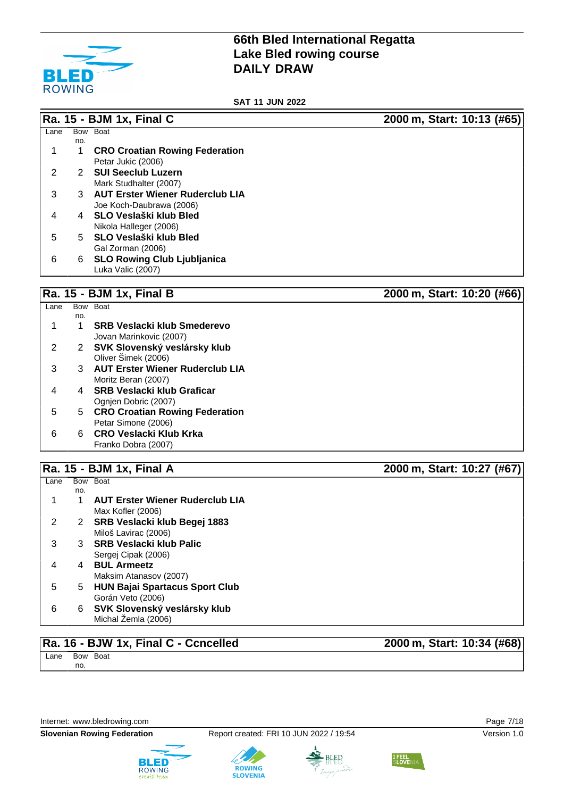

**SAT 11 JUN 2022**

### **Ra. 15 - BJM 1x, Final C 2000 m, Start: 10:13 (#65)**  $Lane$ no. Bow Boat 1 1 **CRO Croatian Rowing Federation** Petar Jukic (2006) 2 2 **SUI Seeclub Luzern** Mark Studhalter (2007) 3 3 **AUT Erster Wiener Ruderclub LIA** Joe Koch-Daubrawa (2006) 4 4 **SLO Veslaški klub Bled** Nikola Halleger (2006) 5 5 **SLO Veslaški klub Bled** Gal Zorman (2006) 6 6 **SLO Rowing Club Ljubljanica** Luka Valic (2007)

## **Ra. 15 - BJM 1x, Final B 2000 m, Start: 10:20 (#66)**

| Lane |     | Bow Boat                               |
|------|-----|----------------------------------------|
|      | no. |                                        |
|      |     | <b>SRB Veslacki klub Smederevo</b>     |
|      |     | Jovan Marinkovic (2007)                |
| 2    | 2   | SVK Slovenský veslársky klub           |
|      |     | Oliver Šimek (2006)                    |
| 3    | 3   | <b>AUT Erster Wiener Ruderclub LIA</b> |
|      |     | Moritz Beran (2007)                    |
| 4    | 4   | <b>SRB Veslacki klub Graficar</b>      |
|      |     | Ognien Dobric (2007)                   |
| 5    | 5.  | <b>CRO Croatian Rowing Federation</b>  |
|      |     | Petar Simone (2006)                    |
| 6    | 6.  | CRO Veslacki Klub Krka                 |
|      |     | Franko Dobra (2007)                    |
|      |     |                                        |

### **Ra. 15 - BJM 1x, Final A 2000 m, Start: 10:27 (#67)**

| Lane |     | Bow Boat                               |
|------|-----|----------------------------------------|
|      | no. |                                        |
|      |     | <b>AUT Erster Wiener Ruderclub LIA</b> |
|      |     | Max Kofler (2006)                      |
| 2    | 2   | SRB Veslacki klub Begej 1883           |
|      |     | Miloš Lavirac (2006)                   |
| 3    | 3   | <b>SRB Veslacki klub Palic</b>         |
|      |     | Sergej Cipak (2006)                    |
| 4    | 4   | <b>BUL Armeetz</b>                     |
|      |     | Maksim Atanasov (2007)                 |
| 5    | 5   | <b>HUN Bajai Spartacus Sport Club</b>  |
|      |     | Gorán Veto (2006)                      |
| 6    | 6   | SVK Slovenský veslársky klub           |
|      |     | Michal Žemla (2006)                    |

### **Ra. 16 - BJW 1x, Final C - Ccncelled 2000 m, Start: 10:34 (#68)**

Lane Bow Boat no.

Internet: [www.bledrowing.com](http://www.bledrowing.com) Page 7/18



**Slovenian Rowing Federation** Report created: FRI 10 JUN 2022 / 19:54 Version 1.0





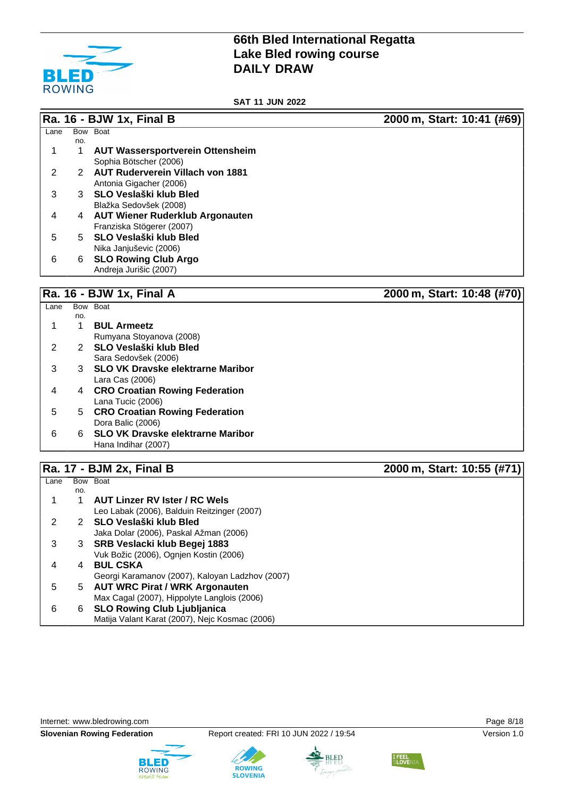

**SAT 11 JUN 2022**

|      |     | Ra. 16 - BJW 1x, Final B                | 2000 m, Start: 10:41 (#69) |
|------|-----|-----------------------------------------|----------------------------|
| Lane |     | Bow Boat                                |                            |
|      | no. |                                         |                            |
|      |     | <b>AUT Wassersportverein Ottensheim</b> |                            |
|      |     | Sophia Bötscher (2006)                  |                            |
| 2    |     | 2 AUT Ruderverein Villach von 1881      |                            |
|      |     | Antonia Gigacher (2006)                 |                            |
| 3    | 3   | SLO Veslaški klub Bled                  |                            |
|      |     | Blažka Sedovšek (2008)                  |                            |
| 4    | 4   | <b>AUT Wiener Ruderklub Argonauten</b>  |                            |
|      |     | Franziska Stögerer (2007)               |                            |
| 5    |     | 5 SLO Veslaški klub Bled                |                            |
|      |     | Nika Janjuševic (2006)                  |                            |
| 6    | 6   | <b>SLO Rowing Club Argo</b>             |                            |
|      |     | Andreja Jurišic (2007)                  |                            |

# **Ra. 16 - BJW 1x, Final A 2000 m, Start: 10:48 (#70)**

| Lane |     | Bow Boat                                 |
|------|-----|------------------------------------------|
|      | no. |                                          |
|      |     | <b>BUL Armeetz</b>                       |
|      |     | Rumyana Stoyanova (2008)                 |
| 2    |     | 2 SLO Veslaški klub Bled                 |
|      |     | Sara Sedovšek (2006)                     |
| 3    |     | 3 SLO VK Dravske elektrarne Maribor      |
|      |     | Lara Cas (2006)                          |
| 4    | 4   | <b>CRO Croatian Rowing Federation</b>    |
|      |     | Lana Tucic (2006)                        |
| 5    | 5.  | <b>CRO Croatian Rowing Federation</b>    |
|      |     | Dora Balic (2006)                        |
| 6    | 6.  | <b>SLO VK Dravske elektrarne Maribor</b> |
|      |     | Hana Indihar (2007)                      |
|      |     |                                          |

# **Ra. 17 - BJM 2x, Final B 2000 m, Start: 10:55 (#71)**

| Lane |     | Bow Boat                                        |
|------|-----|-------------------------------------------------|
|      | no. |                                                 |
|      |     | <b>AUT Linzer RV Ister / RC Wels</b>            |
|      |     | Leo Labak (2006), Balduin Reitzinger (2007)     |
| 2    |     | 2 SLO Veslaški klub Bled                        |
|      |     | Jaka Dolar (2006), Paskal Ažman (2006)          |
| 3    | 3   | SRB Veslacki klub Begej 1883                    |
|      |     | Vuk Božic (2006), Ognjen Kostin (2006)          |
| 4    | 4   | <b>BUL CSKA</b>                                 |
|      |     | Georgi Karamanov (2007), Kaloyan Ladzhov (2007) |
| 5    |     | 5 AUT WRC Pirat / WRK Argonauten                |
|      |     | Max Cagal (2007), Hippolyte Langlois (2006)     |
| 6    | 6   | <b>SLO Rowing Club Ljubljanica</b>              |
|      |     | Matija Valant Karat (2007), Nejc Kosmac (2006)  |

Internet: [www.bledrowing.com](http://www.bledrowing.com) **Page 8/18** 





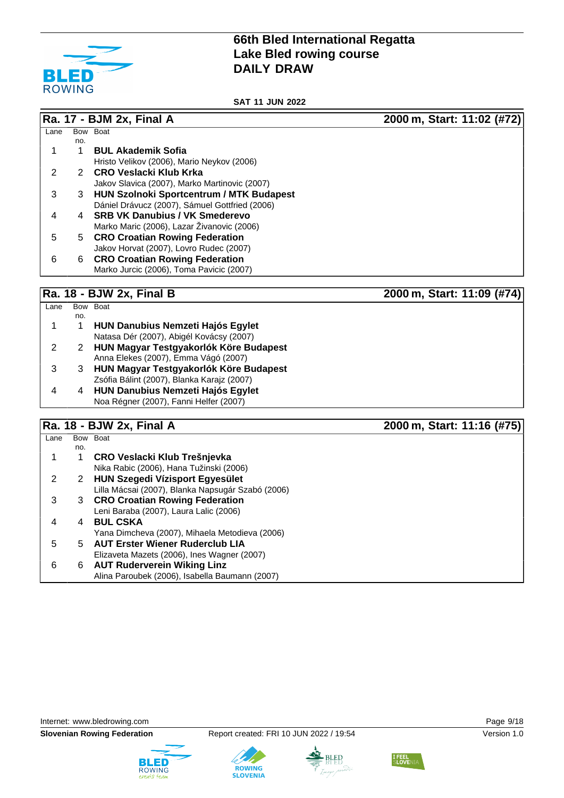

**SAT 11 JUN 2022**

## **Ra. 17 - BJM 2x, Final A 2000 m, Start: 11:02 (#72)**

|   | Lane | <b>Bow</b> | <b>Boat</b>                                     |
|---|------|------------|-------------------------------------------------|
|   |      | no.        |                                                 |
|   |      |            | <b>BUL Akademik Sofia</b>                       |
|   |      |            | Hristo Velikov (2006), Mario Neykov (2006)      |
|   | 2    |            | 2 CRO Veslacki Klub Krka                        |
|   |      |            | Jakov Slavica (2007), Marko Martinovic (2007)   |
| 3 |      | 3          | <b>HUN Szolnoki Sportcentrum / MTK Budapest</b> |
|   |      |            | Dániel Drávucz (2007), Sámuel Gottfried (2006)  |
| 4 |      | 4          | <b>SRB VK Danubius / VK Smederevo</b>           |
|   |      |            | Marko Maric (2006), Lazar Zivanovic (2006)      |
| 5 |      | 5          | <b>CRO Croatian Rowing Federation</b>           |
|   |      |            | Jakov Horvat (2007), Lovro Rudec (2007)         |
| 6 |      | 6          | <b>CRO Croatian Rowing Federation</b>           |
|   |      |            | Marko Jurcic (2006), Toma Pavicic (2007)        |

## **Ra. 18 - BJW 2x, Final B 2000 m, Start: 11:09 (#74)**

| Lane |     | Bow Boat                                   |
|------|-----|--------------------------------------------|
|      | no. |                                            |
|      |     | <b>HUN Danubius Nemzeti Hajós Egylet</b>   |
|      |     | Natasa Dér (2007), Abigél Kovácsy (2007)   |
|      |     | HUN Magyar Testgyakorlók Köre Budapest     |
|      |     | Anna Elekes (2007), Emma Vágó (2007)       |
| З    |     | HUN Magyar Testgyakorlók Köre Budapest     |
|      |     | Zsófia Bálint (2007), Blanka Karajz (2007) |
| 4    | 4   | <b>HUN Danubius Nemzeti Hajós Egylet</b>   |
|      |     | Noa Régner (2007), Fanni Helfer (2007)     |
|      |     |                                            |

## **Ra. 18 - BJW 2x, Final A 2000 m, Start: 11:16 (#75)**

|      |     |                                                   | $\bullet$ , $\bullet$ |
|------|-----|---------------------------------------------------|-----------------------|
| Lane |     | Bow Boat                                          |                       |
|      | no. |                                                   |                       |
|      |     | CRO Veslacki Klub Trešnjevka                      |                       |
|      |     | Nika Rabic (2006), Hana Tužinski (2006)           |                       |
| 2    | 2   | <b>HUN Szegedi Vízisport Egyesület</b>            |                       |
|      |     | Lilla Mácsai (2007), Blanka Napsugár Szabó (2006) |                       |
| 3    | 3   | <b>CRO Croatian Rowing Federation</b>             |                       |
|      |     | Leni Baraba (2007), Laura Lalic (2006)            |                       |
|      | 4   | <b>BUL CSKA</b>                                   |                       |
|      |     | Yana Dimcheva (2007), Mihaela Metodieva (2006)    |                       |
| 5    | 5.  | <b>AUT Erster Wiener Ruderclub LIA</b>            |                       |
|      |     | Elizaveta Mazets (2006), Ines Wagner (2007)       |                       |
| 6    | 6   | <b>AUT Ruderverein Wiking Linz</b>                |                       |
|      |     | Alina Paroubek (2006), Isabella Baumann (2007)    |                       |









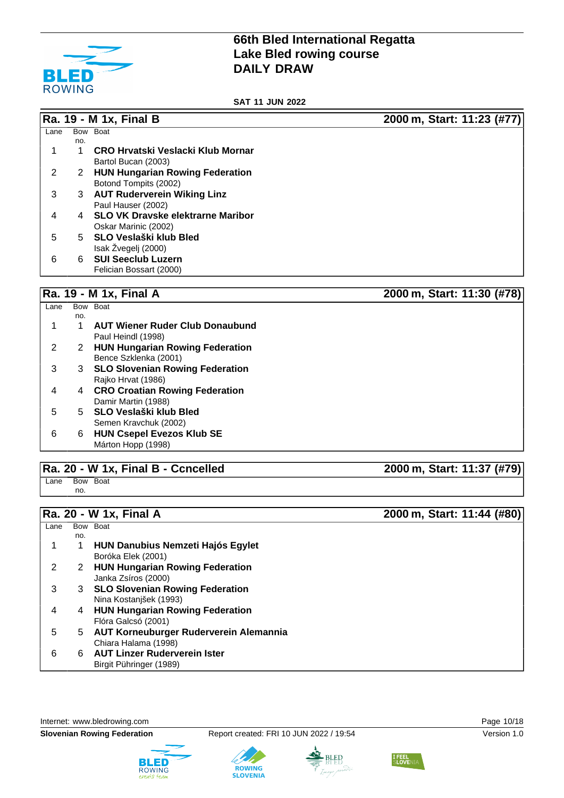

**SAT 11 JUN 2022**

|      |     | $\overline{Ra}$ . 19 - M 1x, Final B     | 2000 m, Start: 11:23 (#77) |
|------|-----|------------------------------------------|----------------------------|
| Lane |     | Bow Boat                                 |                            |
|      | no. |                                          |                            |
|      |     | CRO Hrvatski Veslacki Klub Mornar        |                            |
|      |     | Bartol Bucan (2003)                      |                            |
| 2    | 2   | <b>HUN Hungarian Rowing Federation</b>   |                            |
|      |     | Botond Tompits (2002)                    |                            |
| 3    | 3   | <b>AUT Ruderverein Wiking Linz</b>       |                            |
|      |     | Paul Hauser (2002)                       |                            |
| 4    | 4   | <b>SLO VK Dravske elektrarne Maribor</b> |                            |
|      |     | Oskar Marinic (2002)                     |                            |
| 5    | 5.  | SLO Veslaški klub Bled                   |                            |
|      |     | Isak Żvegelj (2000)                      |                            |
| 6    | 6.  | <b>SUI Seeclub Luzern</b>                |                            |
|      |     | Felician Bossart (2000)                  |                            |
|      |     |                                          |                            |

## **Ra. 19 - M 1x, Final A 2000 m, Start: 11:30 (#78)**

| Lane |     | Bow Boat                               |
|------|-----|----------------------------------------|
|      | no. |                                        |
|      |     | <b>AUT Wiener Ruder Club Donaubund</b> |
|      |     | Paul Heindl (1998)                     |
| 2    | 2   | <b>HUN Hungarian Rowing Federation</b> |
|      |     | Bence Szklenka (2001)                  |
| 3    | 3   | <b>SLO Slovenian Rowing Federation</b> |
|      |     | Rajko Hrvat (1986)                     |
| 4    | 4   | <b>CRO Croatian Rowing Federation</b>  |
|      |     | Damir Martin (1988)                    |
| 5    |     | 5 SLO Veslaški klub Bled               |
|      |     | Semen Kravchuk (2002)                  |
| 6    | 6   | <b>HUN Csepel Evezos Klub SE</b>       |
|      |     | Márton Hopp (1998)                     |
|      |     |                                        |

## **Ra. 20 - W 1x, Final B - Ccncelled 2000 m, Start: 11:37 (#79)**

Lane Bow Boat no.

# **Ra. 20 - W 1x, Final A 2000 m, Start: 11:44 (#80)**

|      | $1101.70 - 111.71$ $11101.71$ |                                        | $2000$ iii, Otal t. 1 i. TT ( $\pi$ 00 |
|------|-------------------------------|----------------------------------------|----------------------------------------|
| Lane |                               | Bow Boat                               |                                        |
|      | no.                           |                                        |                                        |
|      |                               | HUN Danubius Nemzeti Hajós Egylet      |                                        |
|      |                               | Boróka Elek (2001)                     |                                        |
| 2    | $2 -$                         | <b>HUN Hungarian Rowing Federation</b> |                                        |
|      |                               | Janka Zsíros (2000)                    |                                        |
| 3    | 3                             | <b>SLO Slovenian Rowing Federation</b> |                                        |
|      |                               | Nina Kostanjšek (1993)                 |                                        |
| 4    | 4                             | <b>HUN Hungarian Rowing Federation</b> |                                        |
|      |                               | Flóra Galcsó (2001)                    |                                        |
| 5    | 5.                            | AUT Korneuburger Ruderverein Alemannia |                                        |
|      |                               | Chiara Halama (1998)                   |                                        |
| 6    | 6.                            | <b>AUT Linzer Ruderverein Ister</b>    |                                        |
|      |                               | Birgit Pühringer (1989)                |                                        |
|      |                               |                                        |                                        |

Internet: [www.bledrowing.com](http://www.bledrowing.com) **Page 10/18** 





**ROWING**<br>SLOVENIA



**BLED**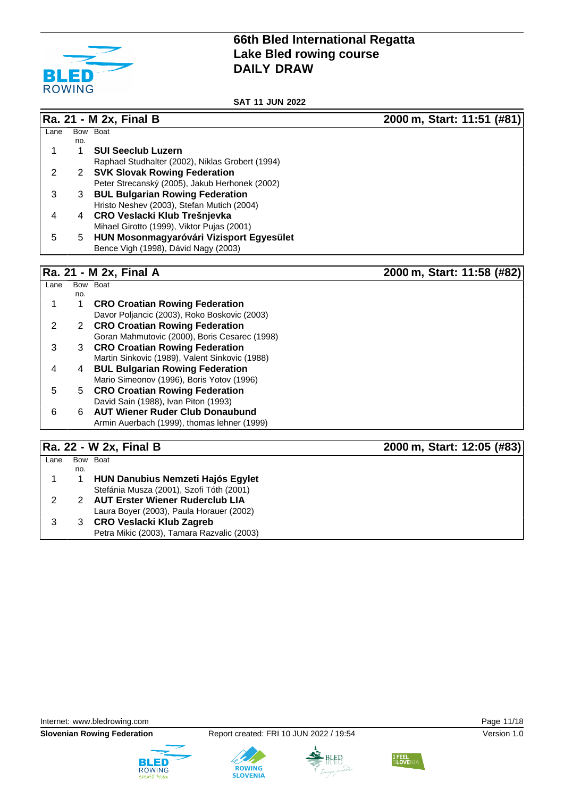

**SAT 11 JUN 2022**

### **Ra. 21 - M 2x, Final B 2000 m, Start: 11:51 (#81)**

| Lane |     | Bow Boat                                         |
|------|-----|--------------------------------------------------|
|      | no. |                                                  |
|      |     | <b>SUI Seeclub Luzern</b>                        |
|      |     | Raphael Studhalter (2002), Niklas Grobert (1994) |
| 2    |     | 2 SVK Slovak Rowing Federation                   |
|      |     | Peter Strecanský (2005), Jakub Herhonek (2002)   |
| 3    | З   | <b>BUL Bulgarian Rowing Federation</b>           |
|      |     | Hristo Neshev (2003), Stefan Mutich (2004)       |
| 4    | 4   | CRO Veslacki Klub Trešnjevka                     |
|      |     | Mihael Girotto (1999), Viktor Pujas (2001)       |
| 5    | 5.  | HUN Mosonmagyaróvári Vizisport Egyesület         |
|      |     | Bence Vigh (1998), Dávid Nagy (2003)             |
|      |     |                                                  |

## **Ra. 21 - M 2x, Final A 2000 m, Start: 11:58 (#82)**

| Lane |     | Bow Boat                                       |                            |
|------|-----|------------------------------------------------|----------------------------|
|      | no. |                                                |                            |
|      |     | <b>CRO Croatian Rowing Federation</b>          |                            |
|      |     | Davor Poljancic (2003), Roko Boskovic (2003)   |                            |
| 2    | 2   | <b>CRO Croatian Rowing Federation</b>          |                            |
|      |     | Goran Mahmutovic (2000), Boris Cesarec (1998)  |                            |
| 3    | 3   | <b>CRO Croatian Rowing Federation</b>          |                            |
|      |     | Martin Sinkovic (1989), Valent Sinkovic (1988) |                            |
| 4    | 4   | <b>BUL Bulgarian Rowing Federation</b>         |                            |
|      |     | Mario Simeonov (1996), Boris Yotov (1996)      |                            |
| 5    | 5.  | <b>CRO Croatian Rowing Federation</b>          |                            |
|      |     | David Sain (1988), Ivan Piton (1993)           |                            |
| 6    | 6   | <b>AUT Wiener Ruder Club Donaubund</b>         |                            |
|      |     | Armin Auerbach (1999), thomas lehner (1999)    |                            |
|      |     |                                                |                            |
|      |     | Ra. 22 - W 2x, Final B                         | 2000 m, Start: 12:05 (#83) |
| Lane |     | Bow Boat                                       |                            |
|      | no. |                                                |                            |
|      |     | HUN Danubius Nemzeti Hajós Egylet              |                            |
|      |     | Stefánia Musza (2001), Szofi Tóth (2001)       |                            |
| 2    | 2.  | <b>AUT Erster Wiener Ruderclub LIA</b>         |                            |
|      |     | Laura Boyer (2003), Paula Horauer (2002)       |                            |

Internet: [www.bledrowing.com](http://www.bledrowing.com) **Page 11/18** 



3 3 **CRO Veslacki Klub Zagreb**

Petra Mikic (2003), Tamara Razvalic (2003)





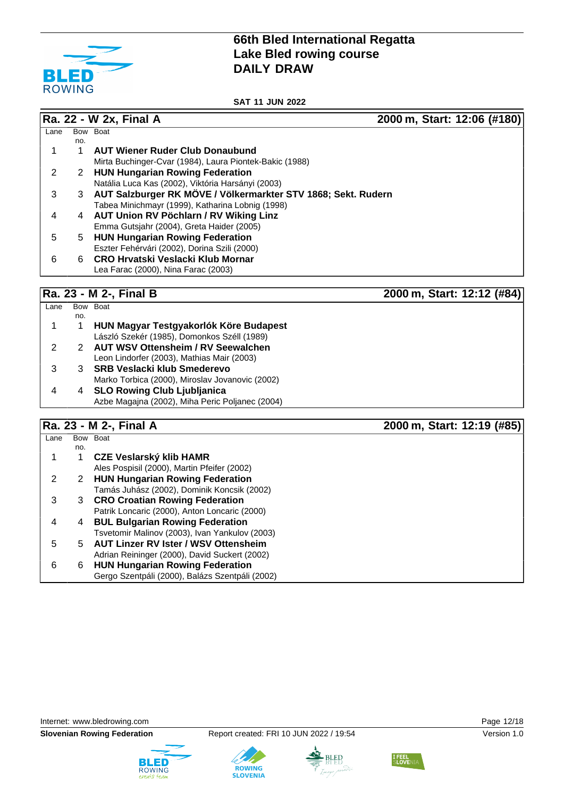

**SAT 11 JUN 2022**

**Ra. 22 - W 2x, Final A 2000 m, Start: 12:06 (#180)**

| Lane |     | Bow Boat                                                      |
|------|-----|---------------------------------------------------------------|
|      | no. |                                                               |
|      |     | <b>AUT Wiener Ruder Club Donaubund</b>                        |
|      |     | Mirta Buchinger-Cvar (1984), Laura Piontek-Bakic (1988)       |
|      | 2   | <b>HUN Hungarian Rowing Federation</b>                        |
|      |     | Natália Luca Kas (2002), Viktória Harsányi (2003)             |
| 3    | 3   | AUT Salzburger RK MÖVE / Völkermarkter STV 1868; Sekt. Rudern |
|      |     | Tabea Minichmayr (1999), Katharina Lobnig (1998)              |
| 4    | 4   | AUT Union RV Pöchlarn / RV Wiking Linz                        |
|      |     | Emma Gutsjahr (2004), Greta Haider (2005)                     |
| 5    |     | 5 HUN Hungarian Rowing Federation                             |
|      |     | Eszter Fehérvári (2002), Dorina Szili (2000)                  |
| 6    | 6.  | CRO Hrvatski Veslacki Klub Mornar                             |
|      |     | Lea Farac (2000), Nina Farac (2003)                           |
|      |     |                                                               |

**Ra. 23 - M 2-, Final B 2000 m, Start: 12:12 (#84)**

| Lane |     | Bow Boat                                        |
|------|-----|-------------------------------------------------|
|      | no. |                                                 |
|      |     | HUN Magyar Testgyakorlók Köre Budapest          |
|      |     | László Szekér (1985), Domonkos Széll (1989)     |
|      |     | <b>AUT WSV Ottensheim / RV Seewalchen</b>       |
|      |     | Leon Lindorfer (2003), Mathias Mair (2003)      |
|      |     | <b>SRB Veslacki klub Smederevo</b>              |
|      |     | Marko Torbica (2000), Miroslav Jovanovic (2002) |
|      |     | <b>SLO Rowing Club Ljubljanica</b>              |
|      |     | Azbe Magajna (2002), Miha Peric Poljanec (2004) |
|      |     |                                                 |

# **Ra. 23 - M 2-, Final A 2000 m, Start: 12:19 (#85)**

| Lane |     | Bow Boat                                        |  |
|------|-----|-------------------------------------------------|--|
|      | no. |                                                 |  |
|      |     | <b>CZE Veslarský klib HAMR</b>                  |  |
|      |     | Ales Pospisil (2000), Martin Pfeifer (2002)     |  |
|      | 2   | <b>HUN Hungarian Rowing Federation</b>          |  |
|      |     | Tamás Juhász (2002), Dominik Koncsik (2002)     |  |
| 3    |     | 3 CRO Croatian Rowing Federation                |  |
|      |     | Patrik Loncaric (2000), Anton Loncaric (2000)   |  |
| 4    | 4   | <b>BUL Bulgarian Rowing Federation</b>          |  |
|      |     | Tsvetomir Malinov (2003), Ivan Yankulov (2003)  |  |
| 5    |     | 5 AUT Linzer RV Ister / WSV Ottensheim          |  |
|      |     | Adrian Reininger (2000), David Suckert (2002)   |  |
| 6    | b   | <b>HUN Hungarian Rowing Federation</b>          |  |
|      |     | Gergo Szentpáli (2000), Balázs Szentpáli (2002) |  |

Internet: [www.bledrowing.com](http://www.bledrowing.com) **Page 12/18** 









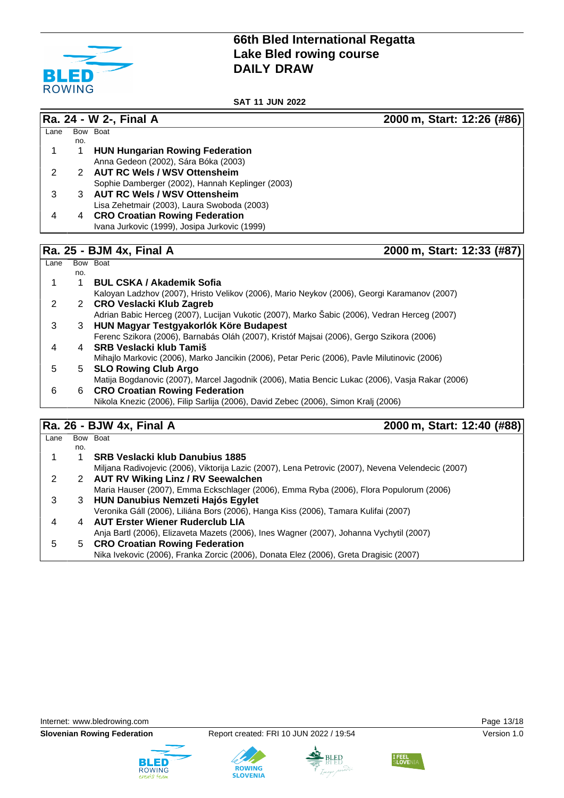

**SAT 11 JUN 2022**

### **Ra. 24 - W 2-, Final A 2000 m, Start: 12:26 (#86)**  $Lane$ no. Bow Boat 1 1 **HUN Hungarian Rowing Federation** Anna Gedeon (2002), Sára Bóka (2003) 2 2 **AUT RC Wels / WSV Ottensheim** Sophie Damberger (2002), Hannah Keplinger (2003) 3 3 **AUT RC Wels / WSV Ottensheim** Lisa Zehetmair (2003), Laura Swoboda (2003) 4 4 **CRO Croatian Rowing Federation** Ivana Jurkovic (1999), Josipa Jurkovic (1999) **Ra. 25 - BJM 4x, Final A 2000 m, Start: 12:33 (#87)**  $Lane$ no. Bow Boat 1 1 **BUL CSKA / Akademik Sofia** Kaloyan Ladzhov (2007), Hristo Velikov (2006), Mario Neykov (2006), Georgi Karamanov (2007) 2 2 **CRO Veslacki Klub Zagreb**

|   |    | — YINY TUYIMYIN INMM EMMIYM                                                                     |
|---|----|-------------------------------------------------------------------------------------------------|
|   |    | Adrian Babic Herceg (2007), Lucijan Vukotic (2007), Marko Šabic (2006), Vedran Herceg (2007)    |
| 3 |    | HUN Magyar Testgyakorlók Köre Budapest                                                          |
|   |    | Ferenc Szikora (2006), Barnabás Oláh (2007), Kristóf Majsai (2006), Gergo Szikora (2006)        |
| 4 |    | 4 SRB Veslacki klub Tamiš                                                                       |
|   |    | Mihajlo Markovic (2006), Marko Jancikin (2006), Petar Peric (2006), Pavle Milutinovic (2006)    |
| 5 |    | 5 SLO Rowing Club Argo                                                                          |
|   |    | Matija Bogdanovic (2007), Marcel Jagodnik (2006), Matia Bencic Lukac (2006), Vasja Rakar (2006) |
| 6 | 6. | <b>CRO Croatian Rowing Federation</b>                                                           |
|   |    | Nikola Knezic (2006), Filip Sarlija (2006), David Zebec (2006), Simon Kralj (2006)              |

### **Ra. 26 - BJW 4x, Final A 2000 m, Start: 12:40 (#88)** Lane Bow Boat no. 1 1 **SRB Veslacki klub Danubius 1885** Miljana Radivojevic (2006), Viktorija Lazic (2007), Lena Petrovic (2007), Nevena Velendecic (2007) 2 2 **AUT RV Wiking Linz / RV Seewalchen** Maria Hauser (2007), Emma Eckschlager (2006), Emma Ryba (2006), Flora Populorum (2006) 3 3 **HUN Danubius Nemzeti Hajós Egylet** Veronika Gáll (2006), Liliána Bors (2006), Hanga Kiss (2006), Tamara Kulifai (2007) 4 4 **AUT Erster Wiener Ruderclub LIA** Anja Bartl (2006), Elizaveta Mazets (2006), Ines Wagner (2007), Johanna Vychytil (2007) 5 5 **CRO Croatian Rowing Federation** Nika Ivekovic (2006), Franka Zorcic (2006), Donata Elez (2006), Greta Dragisic (2007)





**ROWING** 



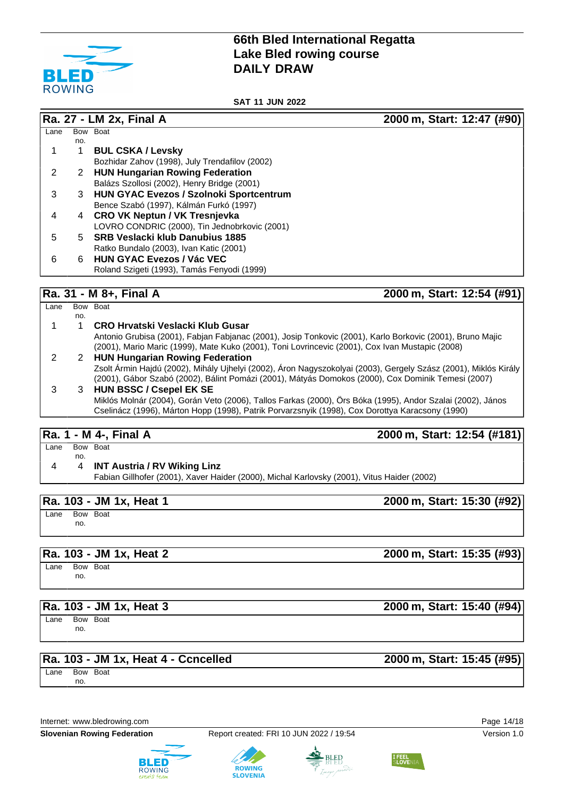

**SAT 11 JUN 2022**

### **Ra. 27 - LM 2x, Final A 2000 m, Start: 12:47 (#90)**  $Lane$ no. Bow Boat 1 1 **BUL CSKA / Levsky** Bozhidar Zahov (1998), July Trendafilov (2002) 2 2 **HUN Hungarian Rowing Federation** Balázs Szollosi (2002), Henry Bridge (2001) 3 3 **HUN GYAC Evezos / Szolnoki Sportcentrum** Bence Szabó (1997), Kálmán Furkó (1997) 4 4 **CRO VK Neptun / VK Tresnjevka** LOVRO CONDRIC (2000), Tin Jednobrkovic (2001) 5 5 **SRB Veslacki klub Danubius 1885** Ratko Bundalo (2003), Ivan Katic (2001) 6 6 **HUN GYAC Evezos / Vác VEC** Roland Szigeti (1993), Tamás Fenyodi (1999)

### **Ra. 31 - M 8+, Final A 2000 m, Start: 12:54 (#91)**

| Lane |     | Bow Boat                                                                                                        |
|------|-----|-----------------------------------------------------------------------------------------------------------------|
|      | no. |                                                                                                                 |
|      |     | CRO Hrvatski Veslacki Klub Gusar                                                                                |
|      |     | Antonio Grubisa (2001), Fabjan Fabjanac (2001), Josip Tonkovic (2001), Karlo Borkovic (2001), Bruno Majic       |
|      |     | (2001), Mario Maric (1999), Mate Kuko (2001), Toni Lovrincevic (2001), Cox Ivan Mustapic (2008)                 |
|      |     | 2 HUN Hungarian Rowing Federation                                                                               |
|      |     | Zsolt Ármin Hajdú (2002), Mihály Ujhelyi (2002), Áron Nagyszokolyai (2003), Gergely Szász (2001), Miklós Király |
|      |     | (2001), Gábor Szabó (2002), Bálint Pomázi (2001), Mátyás Domokos (2000), Cox Dominik Temesi (2007)              |
|      |     | 3 HUN BSSC / Csepel EK SE                                                                                       |
|      |     | Miklós Molnár (2004), Gorán Veto (2006), Tallos Farkas (2000), Örs Bóka (1995), Andor Szalai (2002), János      |
|      |     | Cselinácz (1996), Márton Hopp (1998), Patrik Porvarzsnyik (1998), Cox Dorottya Karacsony (1990)                 |
|      |     |                                                                                                                 |

**Ra. 1 - M 4-, Final A 2000 m, Start: 12:54 (#181)**

 $Lane$ no. Bow Boat

### 4 4 **INT Austria / RV Wiking Linz**

Fabian Gillhofer (2001), Xaver Haider (2000), Michal Karlovsky (2001), Vitus Haider (2002)

### **Ra. 103 - JM 1x, Heat 1 2000 m, Start: 15:30 (#92)**

 $Lane$ no. Bow Boat

### **Ra. 103 - JM 1x, Heat 2 2000 m, Start: 15:35 (#93)**

 $Lane$ no. Bow Boat

## **Ra. 103 - JM 1x, Heat 3 2000 m, Start: 15:40 (#94)**

 $I$ ane no. Bow Boat

## **Ra. 103 - JM 1x, Heat 4 - Ccncelled 2000 m, Start: 15:45 (#95)**

Lane no. Bow Boat

Internet: [www.bledrowing.com](http://www.bledrowing.com) Page 14/18





**ROWING** 



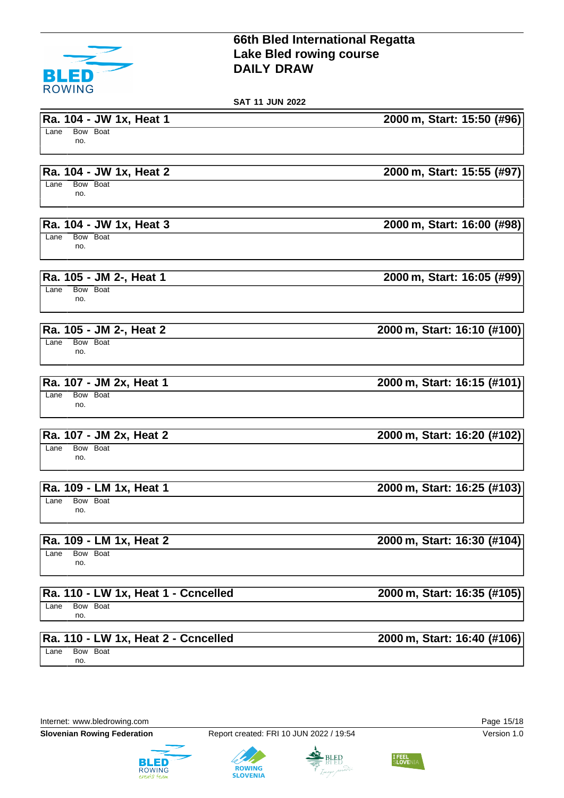

**SAT 11 JUN 2022**

### **Ra. 104 - JW 1x, Heat 1 2000 m, Start: 15:50 (#96)**

Lane Bow Boat no.

### **Ra. 104 - JW 1x, Heat 2 2000 m, Start: 15:55 (#97)**

Lane Bow Boat no.

### **Ra. 104 - JW 1x, Heat 3 2000 m, Start: 16:00 (#98)**

Lane Bow Boat no.

### **Ra. 105 - JM 2-, Heat 1 2000 m, Start: 16:05 (#99)**

Lane Bow Boat no.

### **Ra. 105 - JM 2-, Heat 2 2000 m, Start: 16:10 (#100)**

Lane Bow Boat no.

### **Ra. 107 - JM 2x, Heat 1 2000 m, Start: 16:15 (#101)**

Lane Bow Boat no.

Lane Bow Boat no.

### **Ra. 109 - LM 1x, Heat 1 2000 m, Start: 16:25 (#103)**

Lane Bow Boat no.

Lane Bow Boat no.

### **Ra. 110 - LW 1x, Heat 1 - Ccncelled 2000 m, Start: 16:35 (#105)**

Lane Bow Boat no.

## **Ra. 110 - LW 1x, Heat 2 - Ccncelled 2000 m, Start: 16:40 (#106)**

Lane Bow Boat no.

Internet: [www.bledrowing.com](http://www.bledrowing.com) Page 15/18











**Ra. 107 - JM 2x, Heat 2 2000 m, Start: 16:20 (#102)**

**Ra. 109 - LM 1x, Heat 2 2000 m, Start: 16:30 (#104)**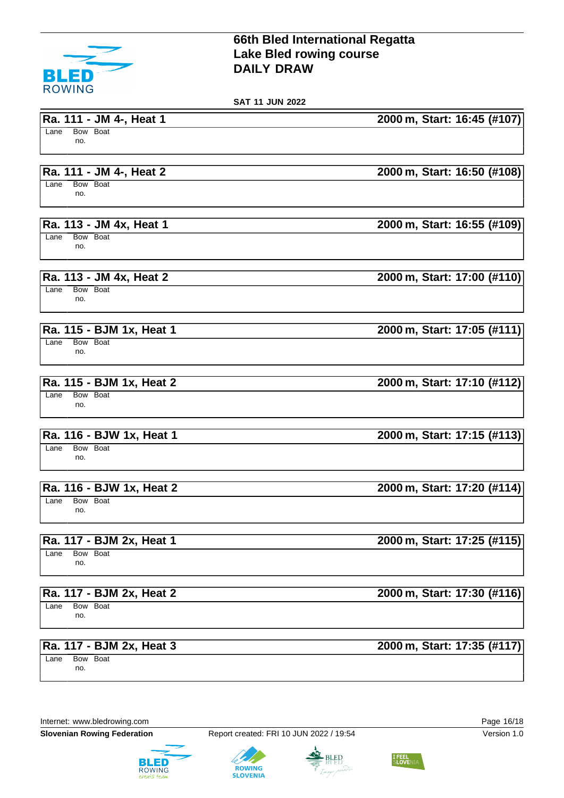

**SAT 11 JUN 2022**

### **Ra. 111 - JM 4-, Heat 1 2000 m, Start: 16:45 (#107)**

Lane Bow Boat no.

### **Ra. 111 - JM 4-, Heat 2 2000 m, Start: 16:50 (#108)**

Lane Bow Boat no.

### **Ra. 113 - JM 4x, Heat 1 2000 m, Start: 16:55 (#109)**

Lane Bow Boat no.

### **Ra. 113 - JM 4x, Heat 2 2000 m, Start: 17:00 (#110)**

Lane Bow Boat no.

Lane Bow Boat no.

Lane Bow Boat no.

 $Lane$ no. Bow Boat

| Ra. 116 - BJW 1x, Heat 2 |  |  |  |  |
|--------------------------|--|--|--|--|
|--------------------------|--|--|--|--|

 $Lane$ no. Bow Boat

Lane Bow Boat no.

 $Lane$ no. Bow Boat

Lane no. Bow Boat

Internet: [www.bledrowing.com](http://www.bledrowing.com) Page 16/18









**Ra. 115 - BJM 1x, Heat 1 2000 m, Start: 17:05 (#111)**

**Ra. 115 - BJM 1x, Heat 2 2000 m, Start: 17:10 (#112)**

**Ra. 116 - BJW 1x, Heat 1 2000 m, Start: 17:15 (#113)**

**Random, Start: 17:20 (#114)** 

**Ra. 117 - BJM 2x, Heat 1 2000 m, Start: 17:25 (#115)**

**Ra. 117 - BJM 2x, Heat 2 2000 m, Start: 17:30 (#116)**

**Ra. 117 - BJM 2x, Heat 3 2000 m, Start: 17:35 (#117)**

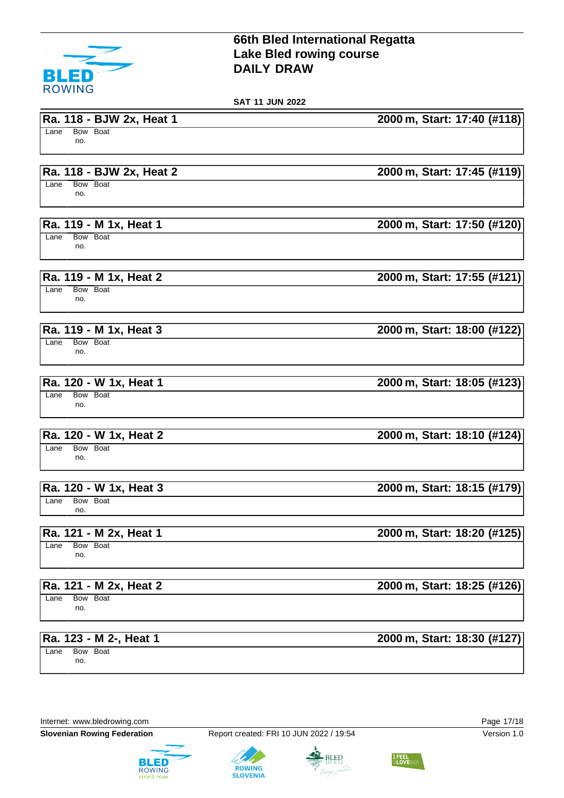

**SAT 11 JUN 2022**

### **Ra. 118 - BJW 2x, Heat 1 2000 m, Start: 17:40 (#118)**

Lane Bow Boat no.

### **Ra. 118 - BJW 2x, Heat 2 2000 m, Start: 17:45 (#119)**

Lane Bow Boat no.

### **Ra. 119 - M 1x, Heat 1 2000 m, Start: 17:50 (#120)**

Lane Bow Boat no.

Lane Bow Boat no.

Lane Bow Boat no.

Lane Bow Boat no.

Lane Bow Boat no.

Lane Bow Boat no.

Lane Bow Boat no.

# **Ra. 121 - M 2x, Heat 2 2000 m, Start: 18:25 (#126)**

Lane Bow Boat no.

### **Ra. 123 - M 2-, Heat 1 2000 m, Start: 18:30 (#127)**

Lane Bow Boat no.











**Ra. 119 - M 1x, Heat 2 2000 m, Start: 17:55 (#121)**

**Ra. 119 - M 1x, Heat 3 2000 m, Start: 18:00 (#122)**

**Ra. 120 - W 1x, Heat 1 2000 m, Start: 18:05 (#123)**

**Ra. 120 - W 1x, Heat 2 2000 m, Start: 18:10 (#124)**

**Ra. 120 - W 1x, Heat 3 2000 m, Start: 18:15 (#179)**

**Ra. 121 - M 2x, Heat 1 2000 m, Start: 18:20 (#125)**